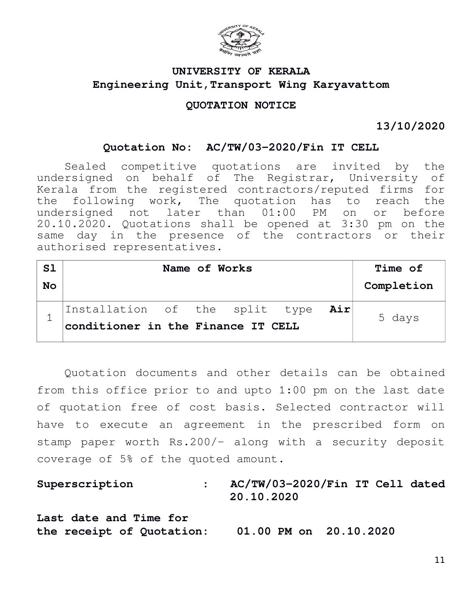

# **UNIVERSITY OF KERALA Engineering Unit,Transport Wing Karyavattom**

## **QUOTATION NOTICE**

**13/10/2020**

### **Quotation No: AC/TW/03-2020/Fin IT CELL**

Sealed competitive quotations are invited by the undersigned on behalf of The Registrar, University of Kerala from the registered contractors/reputed firms for the following work, The quotation has to reach the undersigned not later than 01:00 PM on or before 20.10.2020. Quotations shall be opened at 3:30 pm on the same day in the presence of the contractors or their authorised representatives.

| S1<br><b>No</b> | Name of Works                                                            |  |  |  |  |  | <b>Time of</b><br>Completion |
|-----------------|--------------------------------------------------------------------------|--|--|--|--|--|------------------------------|
|                 | Installation of the split type Air<br>conditioner in the Finance IT CELL |  |  |  |  |  | 5 days                       |

Quotation documents and other details can be obtained from this office prior to and upto 1:00 pm on the last date of quotation free of cost basis. Selected contractor will have to execute an agreement in the prescribed form on stamp paper worth Rs.200/- along with a security deposit coverage of 5% of the quoted amount.

**Superscription : AC/TW/03-2020/Fin IT Cell dated 20.10.2020 Last date and Time for the receipt of Quotation: 01.00 PM on 20.10.2020**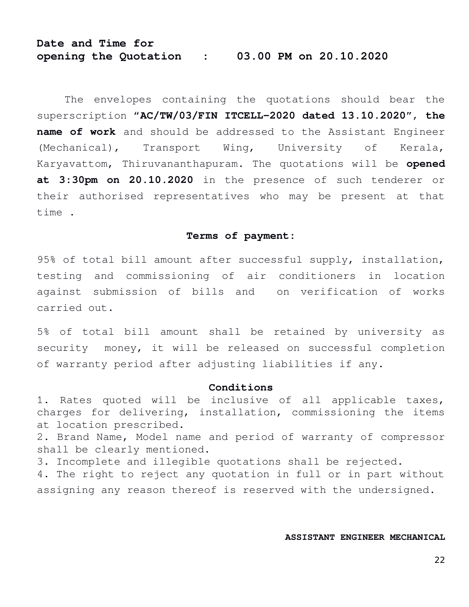# **Date and Time for opening the Quotation : 03.00 PM on 20.10.2020**

The envelopes containing the quotations should bear the superscription "**AC/TW/03/FIN ITCELL-2020 dated 13.10.2020**", **the name of work** and should be addressed to the Assistant Engineer (Mechanical), Transport Wing, University of Kerala, Karyavattom, Thiruvananthapuram. The quotations will be **opened at 3:30pm on 20.10.2020** in the presence of such tenderer or their authorised representatives who may be present at that time .

#### **Terms of payment:**

95% of total bill amount after successful supply, installation, testing and commissioning of air conditioners in location against submission of bills and on verification of works carried out.

5% of total bill amount shall be retained by university as security money, it will be released on successful completion of warranty period after adjusting liabilities if any.

#### **Conditions**

1. Rates quoted will be inclusive of all applicable taxes, charges for delivering, installation, commissioning the items at location prescribed.

2. Brand Name, Model name and period of warranty of compressor shall be clearly mentioned.

3. Incomplete and illegible quotations shall be rejected.

4. The right to reject any quotation in full or in part without assigning any reason thereof is reserved with the undersigned.

#### **ASSISTANT ENGINEER MECHANICAL**